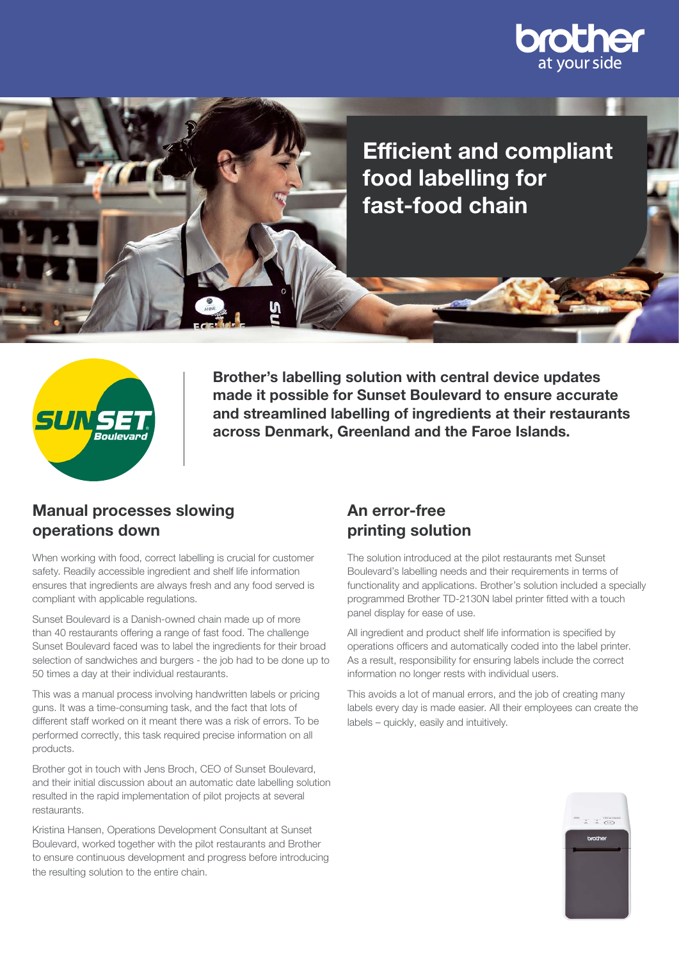





Brother's labelling solution with central device updates made it possible for Sunset Boulevard to ensure accurate and streamlined labelling of ingredients at their restaurants across Denmark, Greenland and the Faroe Islands.

#### Manual processes slowing operations down

When working with food, correct labelling is crucial for customer safety. Readily accessible ingredient and shelf life information ensures that ingredients are always fresh and any food served is compliant with applicable regulations.

Sunset Boulevard is a Danish-owned chain made up of more than 40 restaurants offering a range of fast food. The challenge Sunset Boulevard faced was to label the ingredients for their broad selection of sandwiches and burgers - the job had to be done up to 50 times a day at their individual restaurants.

This was a manual process involving handwritten labels or pricing guns. It was a time-consuming task, and the fact that lots of different staff worked on it meant there was a risk of errors. To be performed correctly, this task required precise information on all products.

Brother got in touch with Jens Broch, CEO of Sunset Boulevard, and their initial discussion about an automatic date labelling solution resulted in the rapid implementation of pilot projects at several restaurants.

Kristina Hansen, Operations Development Consultant at Sunset Boulevard, worked together with the pilot restaurants and Brother to ensure continuous development and progress before introducing the resulting solution to the entire chain.

# An error-free printing solution

The solution introduced at the pilot restaurants met Sunset Boulevard's labelling needs and their requirements in terms of functionality and applications. Brother's solution included a specially programmed Brother TD-2130N label printer fitted with a touch panel display for ease of use.

All ingredient and product shelf life information is specified by operations officers and automatically coded into the label printer. As a result, responsibility for ensuring labels include the correct information no longer rests with individual users.

This avoids a lot of manual errors, and the job of creating many labels every day is made easier. All their employees can create the labels – quickly, easily and intuitively.

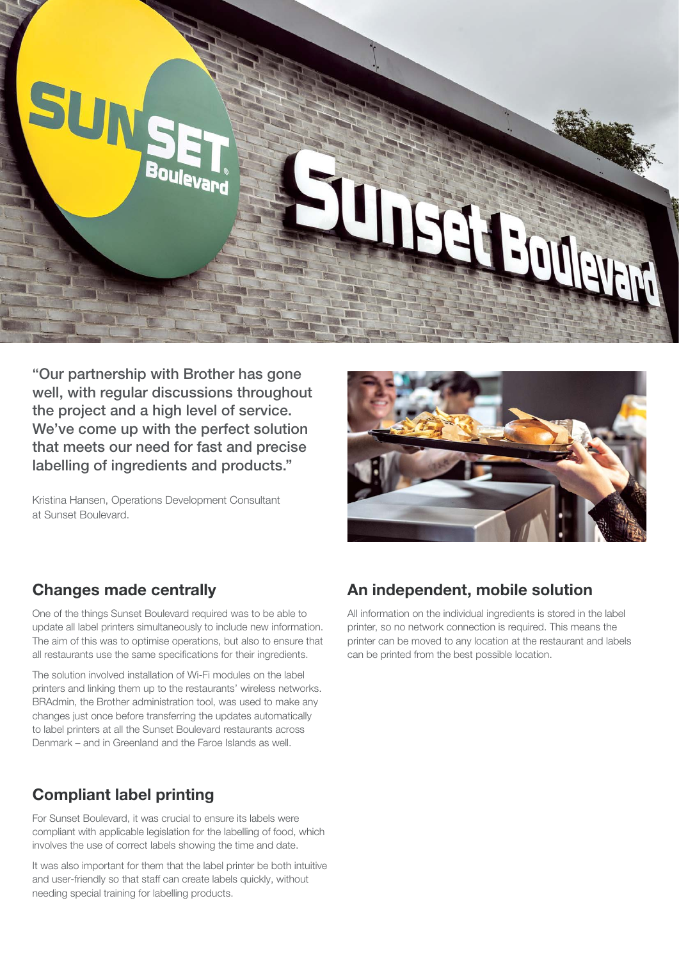

"Our partnership with Brother has gone well, with regular discussions throughout the project and a high level of service. We've come up with the perfect solution that meets our need for fast and precise labelling of ingredients and products."

Kristina Hansen, Operations Development Consultant at Sunset Boulevard.



#### Changes made centrally

One of the things Sunset Boulevard required was to be able to update all label printers simultaneously to include new information. The aim of this was to optimise operations, but also to ensure that all restaurants use the same specifications for their ingredients.

The solution involved installation of Wi-Fi modules on the label printers and linking them up to the restaurants' wireless networks. BRAdmin, the Brother administration tool, was used to make any changes just once before transferring the updates automatically to label printers at all the Sunset Boulevard restaurants across Denmark – and in Greenland and the Faroe Islands as well.

## Compliant label printing

For Sunset Boulevard, it was crucial to ensure its labels were compliant with applicable legislation for the labelling of food, which involves the use of correct labels showing the time and date.

It was also important for them that the label printer be both intuitive and user-friendly so that staff can create labels quickly, without needing special training for labelling products.

## An independent, mobile solution

All information on the individual ingredients is stored in the label printer, so no network connection is required. This means the printer can be moved to any location at the restaurant and labels can be printed from the best possible location.